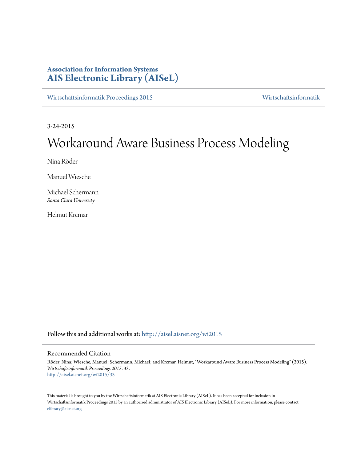# **Association for Information Systems [AIS Electronic Library \(AISeL\)](http://aisel.aisnet.org?utm_source=aisel.aisnet.org%2Fwi2015%2F33&utm_medium=PDF&utm_campaign=PDFCoverPages)**

[Wirtschaftsinformatik Proceedings 2015](http://aisel.aisnet.org/wi2015?utm_source=aisel.aisnet.org%2Fwi2015%2F33&utm_medium=PDF&utm_campaign=PDFCoverPages) [Wirtschaftsinformatik](http://aisel.aisnet.org/wi?utm_source=aisel.aisnet.org%2Fwi2015%2F33&utm_medium=PDF&utm_campaign=PDFCoverPages)

3-24-2015

# Workaround Aware Business Process Modeling

Nina Röder

Manuel Wiesche

Michael Schermann *Santa Clara University*

Helmut Krcmar

Follow this and additional works at: [http://aisel.aisnet.org/wi2015](http://aisel.aisnet.org/wi2015?utm_source=aisel.aisnet.org%2Fwi2015%2F33&utm_medium=PDF&utm_campaign=PDFCoverPages)

## Recommended Citation

Röder, Nina; Wiesche, Manuel; Schermann, Michael; and Krcmar, Helmut, "Workaround Aware Business Process Modeling" (2015). *Wirtschaftsinformatik Proceedings 2015*. 33. [http://aisel.aisnet.org/wi2015/33](http://aisel.aisnet.org/wi2015/33?utm_source=aisel.aisnet.org%2Fwi2015%2F33&utm_medium=PDF&utm_campaign=PDFCoverPages)

This material is brought to you by the Wirtschaftsinformatik at AIS Electronic Library (AISeL). It has been accepted for inclusion in Wirtschaftsinformatik Proceedings 2015 by an authorized administrator of AIS Electronic Library (AISeL). For more information, please contact [elibrary@aisnet.org.](mailto:elibrary@aisnet.org%3E)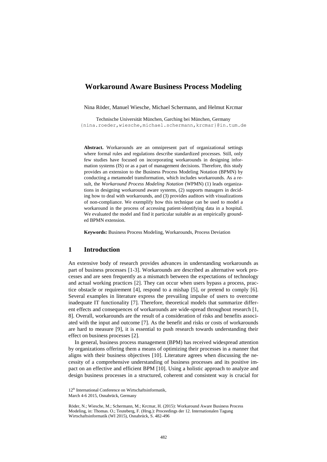# **Workaround Aware Business Process Modeling**

Nina Röder, Manuel Wiesche, Michael Schermann, and Helmut Krcmar

Technische Universität München, Garching bei München, Germany {nina.roeder,wiesche,michael.schermann,krcmar}@in.tum.de

**Abstract.** Workarounds are an omnipresent part of organizational settings where formal rules and regulations describe standardized processes. Still, only few studies have focused on incorporating workarounds in designing information systems (IS) or as a part of management decisions. Therefore, this study provides an extension to the Business Process Modeling Notation (BPMN) by conducting a metamodel transformation, which includes workarounds. As a result, the *Workaround Process Modeling Notation* (WPMN) (1) leads organizations in designing workaround aware systems, (2) supports managers in deciding how to deal with workarounds, and (3) provides auditors with visualizations of non-compliance. We exemplify how this technique can be used to model a workaround in the process of accessing patient-identifying data in a hospital. We evaluated the model and find it particular suitable as an empirically grounded BPMN extension.

**Keywords:** Business Process Modeling, Workarounds, Process Deviation

#### **1 Introduction**

An extensive body of research provides advances in understanding workarounds as part of business processes [\[1-3\]](#page-13-0). Workarounds are described as alternative work processes and are seen frequently as a mismatch between the expectations of technology and actual working practices [\[2\]](#page-13-1). They can occur when users bypass a process, practice obstacle or requirement [\[4\]](#page-13-2), respond to a mishap [\[5\]](#page-13-3), or pretend to comply [\[6\]](#page-13-4). Several examples in literature express the prevailing impulse of users to overcome inadequate IT functionality [\[7\]](#page-13-5). Therefore, theoretical models that summarize different effects and consequences of workarounds are wide-spread throughout research [\[1,](#page-13-0) [8\]](#page-13-6). Overall, workarounds are the result of a consideration of risks and benefits associated with the input and outcome [\[7\]](#page-13-5). As the benefit and risks or costs of workarounds are hard to measure [\[9\]](#page-13-7), it is essential to push research towards understanding their effect on business processes [\[2\]](#page-13-1).

In general, business process management (BPM) has received widespread attention by organizations offering them a means of optimizing their processes in a manner that aligns with their business objectives [\[10\]](#page-13-8). Literature agrees when discussing the necessity of a comprehensive understanding of business processes and its positive impact on an effective and efficient BPM [\[10\]](#page-13-8). Using a holistic approach to analyze and design business processes in a structured, coherent and consistent way is crucial for

<sup>12&</sup>lt;sup>th</sup> International Conference on Wirtschaftsinformatik,

March 4-6 2015, Osnabrück, Germany

Röder, N.; Wiesche, M.; Schermann, M.; Krcmar, H. (2015): Workaround Aware Business Process Modeling, in: Thomas. O.; Teuteberg, F. (Hrsg.): Proceedings der 12. Internationalen Tagung Wirtschaftsinformatik (WI 2015), Osnabrück, S. 482-496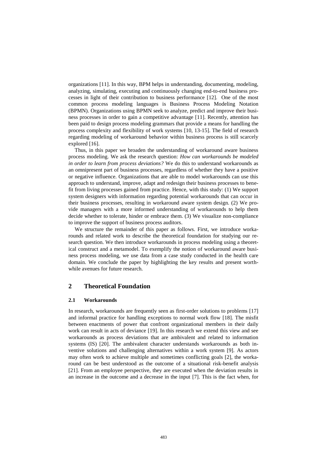organizations [\[11\]](#page-13-9). In this way, BPM helps in understanding, documenting, modeling, analyzing, simulating, executing and continuously changing end-to-end business processes in light of their contribution to business performance [\[12\]](#page-13-10). One of the most common process modeling languages is Business Process Modeling Notation (BPMN). Organizations using BPMN seek to analyze, predict and improve their business processes in order to gain a competitive advantage [\[11\]](#page-13-9). Recently, attention has been paid to design process modeling grammars that provide a means for handling the process complexity and flexibility of work systems [\[10,](#page-13-8) [13-15\]](#page-13-11). The field of research regarding modeling of workaround behavior within business process is still scarcely explored [\[16\]](#page-13-12).

Thus, in this paper we broaden the understanding of workaround aware business process modeling. We ask the research question: *How can workarounds be modeled in order to learn from process deviations?* We do this to understand workarounds as an omnipresent part of business processes, regardless of whether they have a positive or negative influence. Organizations that are able to model workarounds can use this approach to understand, improve, adapt and redesign their business processes to benefit from living processes gained from practice. Hence, with this study: (1) We support system designers with information regarding potential workarounds that can occur in their business processes, resulting in workaround aware system design. (2) We provide managers with a more informed understanding of workarounds to help them decide whether to tolerate, hinder or embrace them. (3) We visualize non-compliance to improve the support of business process auditors.

We structure the remainder of this paper as follows. First, we introduce workarounds and related work to describe the theoretical foundation for studying our research question. We then introduce workarounds in process modeling using a theoretical construct and a metamodel. To exemplify the notion of workaround aware business process modeling, we use data from a case study conducted in the health care domain. We conclude the paper by highlighting the key results and present worthwhile avenues for future research.

# **2 Theoretical Foundation**

#### **2.1 Workarounds**

In research, workarounds are frequently seen as first-order solutions to problems [\[17\]](#page-13-13) and informal practice for handling exceptions to normal work flow [\[18\]](#page-14-0). The misfit between enactments of power that confront organizational members in their daily work can result in acts of deviance [\[19\]](#page-14-1). In this research we extend this view and see workarounds as process deviations that are ambivalent and related to information systems (IS) [\[20\]](#page-14-2). The ambivalent character understands workarounds as both inventive solutions and challenging alternatives within a work system [\[9\]](#page-13-7). As actors may often work to achieve multiple and sometimes conflicting goals [\[2\]](#page-13-1), the workaround can be best understood as the outcome of a situational risk-benefit analysis [\[21\]](#page-14-3). From an employee perspective, they are executed when the deviation results in an increase in the outcome and a decrease in the input [\[7\]](#page-13-5). This is the fact when, for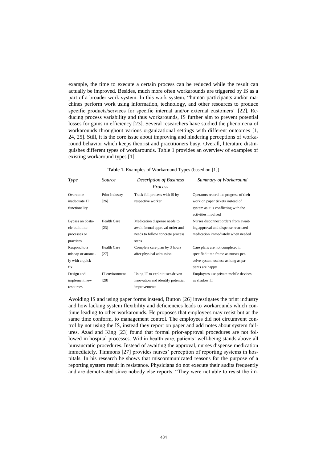example, the time to execute a certain process can be reduced while the result can actually be improved. Besides, much more often workarounds are triggered by IS as a part of a broader work system. In this work system, "human participants and/or machines perform work using information, technology, and other resources to produce specific products/services for specific internal and/or external customers" [\[22\]](#page-14-4). Reducing process variability and thus workarounds, IS further aim to prevent potential losses for gains in efficiency [\[23\]](#page-14-5). Several researchers have studied the phenomena of workarounds throughout various organizational settings with different outcomes [\[1,](#page-13-0) [24,](#page-14-6) [25\]](#page-14-7). Still, it is the core issue about improving and hindering perceptions of workaround behavior which keeps theorist and practitioners busy. Overall, literature distinguishes different types of workarounds. Table 1 provides an overview of examples of existing workaround types [\[1\]](#page-13-0).

| Table 1. Examples of Workaround Types (based on [1]) |  |  |  |  |  |  |  |  |
|------------------------------------------------------|--|--|--|--|--|--|--|--|
|------------------------------------------------------|--|--|--|--|--|--|--|--|

| Type                                                            | Source                 | <b>Description of Business</b><br>Process                                                                    | Summary of Workaround                                                                                                                     |
|-----------------------------------------------------------------|------------------------|--------------------------------------------------------------------------------------------------------------|-------------------------------------------------------------------------------------------------------------------------------------------|
| Overcome<br>inadequate IT<br>functionality                      | Print Industry<br>[26] | Track full process with IS by<br>respective worker                                                           | Operators record the progress of their<br>work on paper tickets instead of<br>system as it is conflicting with the<br>activities involved |
| Bypass an obsta-<br>cle built into<br>processes or<br>practices | Health Care<br>[23]    | Medication dispense needs to<br>await formal approval order and<br>needs to follow concrete process<br>steps | Nurses disconnect orders from await-<br>ing approval and dispense restricted<br>medication immediately when needed                        |
| Respond to a<br>mishap or anoma-<br>ly with a quick<br>fix      | Health Care<br>[27]    | Complete care plan by 3 hours<br>after physical admission                                                    | Care plans are not completed in<br>specified time frame as nurses per-<br>ceive system useless as long as pa-<br>tients are happy         |
| Design and<br>implement new<br>resources                        | IT environment<br>[28] | Using IT to exploit user-driven<br>innovation and identify potential<br>improvements                         | Employees use private mobile devices<br>as shadow IT                                                                                      |

Avoiding IS and using paper forms instead, Button [\[26\]](#page-14-8) investigates the print industry and how lacking system flexibility and deficiencies leads to workarounds which continue leading to other workarounds. He proposes that employees may resist but at the same time conform, to management control. The employees did not circumvent control by not using the IS, instead they report on paper and add notes about system failures. Azad and King [\[23\]](#page-14-5) found that formal prior-approval procedures are not followed in hospital processes. Within health care, patients' well-being stands above all bureaucratic procedures. Instead of awaiting the approval, nurses dispense medication immediately. Timmons [\[27\]](#page-14-9) provides nurses' perception of reporting systems in hospitals. In his research he shows that miscommunicated reasons for the purpose of a reporting system result in resistance. Physicians do not execute their audits frequently and are demotivated since nobody else reports. "They were not able to resist the im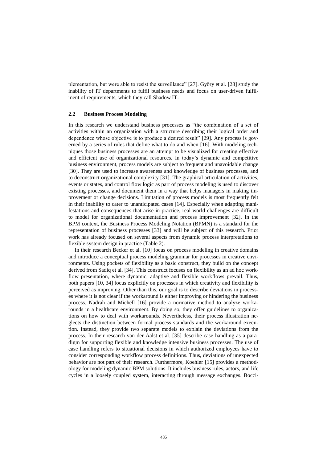plementation, but were able to resist the surveillance" [\[27\]](#page-14-9). Györy et al. [\[28\]](#page-14-10) study the inability of IT departments to fulfil business needs and focus on user-driven fulfilment of requirements, which they call Shadow IT.

#### **2.2 Business Process Modeling**

In this research we understand business processes as "the combination of a set of activities within an organization with a structure describing their logical order and dependence whose objective is to produce a desired result" [\[29\]](#page-14-11). Any process is governed by a series of rules that define what to do and when [\[16\]](#page-13-12). With modeling techniques those business processes are an attempt to be visualized for creating effective and efficient use of organizational resources. In today's dynamic and competitive business environment, process models are subject to frequent and unavoidable change [\[30\]](#page-14-12). They are used to increase awareness and knowledge of business processes, and to deconstruct organizational complexity [\[31\]](#page-14-13). The graphical articulation of activities, events or states, and control flow logic as part of process modeling is used to discover existing processes, and document them in a way that helps managers in making improvement or change decisions. Limitation of process models is most frequently felt in their inability to cater to unanticipated cases [\[14\]](#page-13-14). Especially when adapting manifestations and consequences that arise in practice, real-world challenges are difficult to model for organizational documentation and process improvement [\[32\]](#page-14-14). In the BPM context, the Business Process Modeling Notation (BPMN) is a standard for the representation of business processes [\[33\]](#page-14-15) and will be subject of this research. Prior work has already focused on several aspects from dynamic process interpretations to flexible system design in practice (Table 2).

In their research Becker et al. [\[10\]](#page-13-8) focus on process modeling in creative domains and introduce a conceptual process modeling grammar for processes in creative environments. Using pockets of flexibility as a basic construct, they build on the concept derived from Sadiq et al. [\[34\]](#page-14-16). This construct focuses on flexibility as an ad hoc workflow presentation, where dynamic, adaptive and flexible workflows prevail. Thus, both papers [\[10,](#page-13-8) [34\]](#page-14-16) focus explicitly on processes in which creativity and flexibility is perceived as improving. Other than this, our goal is to describe deviations in processes where it is not clear if the workaround is either improving or hindering the business process. Nadrah and Michell [\[16\]](#page-13-12) provide a normative method to analyze workarounds in a healthcare environment. By doing so, they offer guidelines to organizations on how to deal with workarounds. Nevertheless, their process illustration neglects the distinction between formal process standards and the workaround execution. Instead, they provide two separate models to explain the deviations from the process. In their research van der Aalst et al. [\[35\]](#page-14-17) describe case handling as a paradigm for supporting flexible and knowledge intensive business processes. The use of case handling refers to situational decisions in which authorized employees have to consider corresponding workflow process definitions. Thus, deviations of unexpected behavior are not part of their research. Furthermore, Koehler [\[15\]](#page-13-15) provides a methodology for modeling dynamic BPM solutions. It includes business rules, actors, and life cycles in a loosely coupled system, interacting through message exchanges. Bocci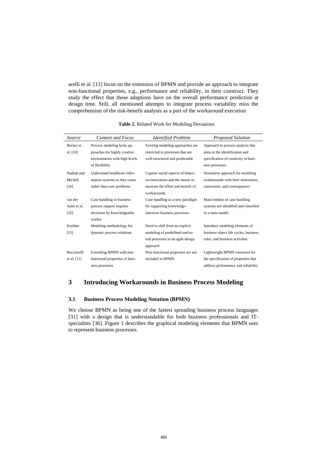arelli et al. [\[11\]](#page-13-9) focus on the extension of BPMN and provide an approach to integrate non-functional properties, e.g., performance and reliability, in their construct. They study the effect that those adaptions have on the overall performance prediction at design time. Still, all mentioned attempts to integrate process variability miss the comprehension of the risk-benefit analysis as a part of the workaround execution

| Source                            | <b>Context and Focus</b>                                                                                      | <b>Identified Problem</b>                                                                                               | <b>Proposed Solution</b>                                                                                                      |
|-----------------------------------|---------------------------------------------------------------------------------------------------------------|-------------------------------------------------------------------------------------------------------------------------|-------------------------------------------------------------------------------------------------------------------------------|
| Becker et<br>al. [10]             | Process modeling lacks ap-<br>proaches for highly creative<br>environments with high levels<br>of flexibility | Existing modeling approaches are<br>restricted to processes that are<br>well-structured and predictable                 | Approach to process analysis that<br>aims at the identification and<br>specification of creativity in busi-<br>ness processes |
| Nadrah and<br>Michell<br>$[16]$   | Understand healthcare infor-<br>mation systems as they cause<br>rather than cure problems                     | Capture social aspects of behav-<br>ior/motivation and the means to<br>measure the effort and benefit of<br>workarounds | Normative approach for modeling<br>workarounds with their motivation.<br>constraints, and consequences                        |
| van der<br>Aalst et al.<br>$[35]$ | Case handling in business<br>process support requires<br>decisions by knowledgeable<br>worker                 | Case handling as a new paradigm<br>for supporting knowledge-<br>intensive business processes                            | Main entities of case handling<br>systems are identified and classified<br>in a meta model                                    |
| Koehler<br>[15]                   | Modeling methodology for<br>dynamic process solutions                                                         | Need to shift from an explicit<br>modeling of predefined end-to-<br>end processes to an agile design<br>approach        | Introduce modeling elements of<br>business object life cycles, business<br>rules, and business activities                     |
| Bocciarelli<br>et al. [11]        | Extending BPMN with non-<br>functional properties of busi-<br>ness processes                                  | Non-functional properties are not<br>included in BPMN                                                                   | Lightweight BPMN extension for<br>the specification of properties that<br>address performance and reliability                 |

**Table 2.** Related Work for Modeling Deviations

# **3 Introducing Workarounds in Business Process Modeling**

## **3.1 Business Process Modeling Notation (BPMN)**

We choose BPMN as being one of the fastest spreading business process languages [\[31\]](#page-14-13) with a design that is understandable for both business professionals and ITspecialists [\[36\]](#page-14-18). Figure 1 describes the graphical modeling elements that BPMN uses to represent business processes.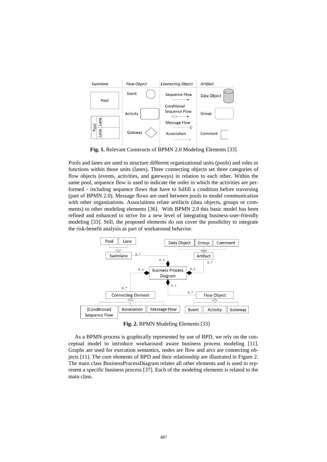

**Fig. 1.** Relevant Constructs of BPMN 2.0 Modeling Elements [\[33\]](#page-14-15)

Pools and lanes are used to structure different organizational units (pools) and roles or functions within those units (lanes). Three connecting objects set three categories of flow objects (events, activities, and gateways) in relation to each other. Within the same pool, sequence flow is used to indicate the order in which the activities are performed - including sequence flows that have to fulfill a condition before traversing (part of BPMN 2.0). Message flows are used between pools to model communication with other organizations. Associations relate artifacts (data objects, groups or comments) to other modeling elements [\[36\]](#page-14-18). With BPMN 2.0 this basic model has been refined and enhanced to strive for a new level of integrating business-user-friendly modeling [\[33\]](#page-14-15). Still, the proposed elements do not cover the possibility to integrate the risk-benefit analysis as part of workaround behavior.



**Fig. 2.** BPMN Modeling Elements [\[33\]](#page-14-15)

As a BPMN process is graphically represented by use of BPD, we rely on the conceptual model to introduce workaround aware business process modeling [\[11\]](#page-13-9). Graphs are used for execution semantics, nodes are flow and arcs are connecting objects [\[11\]](#page-13-9). The core elements of BPD and their relationship are illustrated in Figure 2. The main class BusinessProcessDiagram relates all other elements and is used to represent a specific business process [\[37\]](#page-14-19). Each of the modeling elements is related to the main class.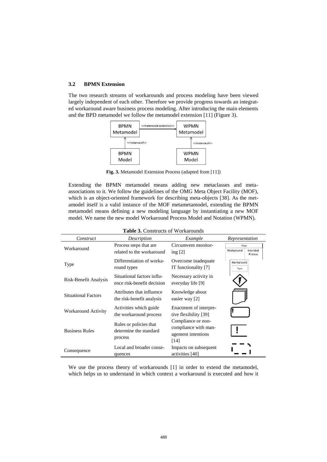#### **3.2 BPMN Extension**

The two research streams of workarounds and process modeling have been viewed largely independent of each other. Therefore we provide progress towards an integrated workaround aware business process modeling. After introducing the main elements and the BPD metamodel we follow the metamodel extension [\[11\]](#page-13-9) (Figure 3).



**Fig. 3.** Metamodel Extension Process (adapted from [\[11\]](#page-13-9))

Extending the BPMN metamodel means adding new metaclasses and metaassociations to it. We follow the guidelines of the OMG Meta Object Facility (MOF), which is an object-oriented framework for describing meta-objects [\[38\]](#page-14-20). As the metamodel itself is a valid instance of the MOF metametamodel, extending the BPMN metamodel means defining a new modeling language by instantiating a new MOF model. We name the new model Workaround Process Model and Notation (WPMN).

| <b>Table 3.</b> Constructs of Workarounds |                                                             |                                                                          |                                           |  |  |
|-------------------------------------------|-------------------------------------------------------------|--------------------------------------------------------------------------|-------------------------------------------|--|--|
| Construct                                 | Description                                                 | Example                                                                  | Representation                            |  |  |
| Workaround                                | Process steps that are.<br>related to the workaround        | Circumvent monitor-<br>ing $[2]$                                         | Pool<br>Workaround<br>Intended<br>Process |  |  |
| Type                                      | Differentiation of worka-<br>round types                    | Overcome inadequate<br>IT functionality [7]                              | Workaround<br>Type                        |  |  |
| Risk-Benefit Analysis                     | Situational factors influ-<br>ence risk-benefit decision    | Necessary activity in<br>everyday life [9]                               |                                           |  |  |
| <b>Situational Factors</b>                | Attributes that influence<br>the risk-benefit analysis      | Knowledge about<br>easier way [2]                                        |                                           |  |  |
| Workaround Activity                       | Activities which guide<br>the workaround process            | Enactment of interpre-<br>tive flexibility [39]                          |                                           |  |  |
| <b>Business Rules</b>                     | Rules or policies that<br>determine the standard<br>process | Compliance or non-<br>compliance with man-<br>agement intentions<br>[14] |                                           |  |  |
| Consequence                               | Local and broader conse-<br>quences                         | Impacts on subsequent<br>activities [40]                                 |                                           |  |  |

We use the process theory of workarounds [\[1\]](#page-13-0) in order to extend the metamodel, which helps us to understand in which context a workaround is executed and how it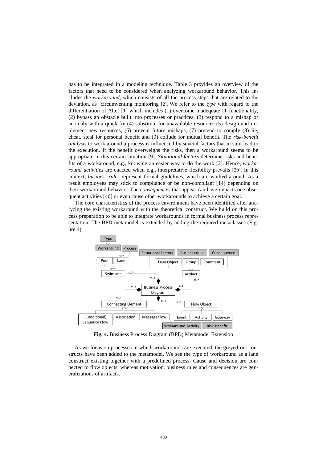has to be integrated in a modeling technique. Table 3 provides an overview of the factors that need to be considered when analyzing workaround behavior. This includes the *workaround,* which consists of all the process steps that are related to the deviation, as circumventing monitoring [\[2\]](#page-13-1). We refer to the *type* with regard to the differentiation of Alter [\[1\]](#page-13-0) which includes (1) overcome inadequate IT functionality, (2) bypass an obstacle built into processes or practices, (3) respond to a mishap or anomaly with a quick fix (4) substitute for unavailable resources (5) design and implement new resources, (6) prevent future mishaps, (7) pretend to comply (8) lie, cheat, steal for personal benefit and (9) collude for mutual benefit. The *risk-benefit analysis* to work around a process is influenced by several factors that in sum lead to the execution. If the benefit overweighs the risks, then a workaround seems to be appropriate in this certain situation [\[9\]](#page-13-7). *Situational factors* determine risks and benefits of a workaround, e.g., knowing an easier way to do the work [\[2\]](#page-13-1). Hence, *workaround activities* are enacted when e.g., interpretative flexibility prevails [\[39\]](#page-15-0). In this context, *business rules* represent formal guidelines, which are worked around. As a result employees may stick to compliance or be non-compliant [\[14\]](#page-13-14) depending on their workaround behavior. The *consequences* that appear can have impacts on subsequent activities [\[40\]](#page-15-1) or even cause other workarounds to achieve a certain goal.

The core characteristics of the process environment have been identified after analyzing the existing workaround with the theoretical construct. We build on this process preparation to be able to integrate workarounds in formal business process representation. The BPD metamodel is extended by adding the required metaclasses (Figure 4).



**Fig. 4.** Business Process Diagram (BPD) Metamodel Extension

As we focus on processes in which workarounds are executed, the greyed-out constructs have been added to the metamodel. We see the type of workaround as a lane construct existing together with a predefined process. Cause and decision are connected to flow objects, whereas motivation, business rules and consequences are generalizations of artifacts.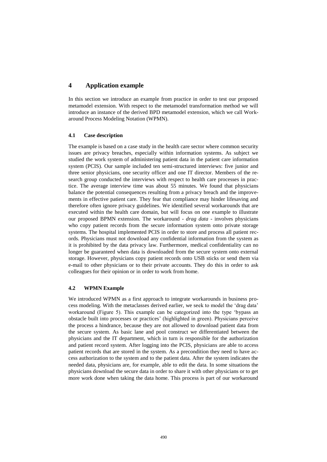# **4 Application example**

In this section we introduce an example from practice in order to test our proposed metamodel extension. With respect to the metamodel transformation method we will introduce an instance of the derived BPD metamodel extension, which we call Workaround Process Modeling Notation (WPMN).

#### **4.1 Case description**

The example is based on a case study in the health care sector where common security issues are privacy breaches, especially within information systems. As subject we studied the work system of administering patient data in the patient care information system (PCIS). Our sample included ten semi-structured interviews: five junior and three senior physicians, one security officer and one IT director. Members of the research group conducted the interviews with respect to health care processes in practice. The average interview time was about 55 minutes. We found that physicians balance the potential consequences resulting from a privacy breach and the improvements in effective patient care. They fear that compliance may hinder lifesaving and therefore often ignore privacy guidelines. We identified several workarounds that are executed within the health care domain, but will focus on one example to illustrate our proposed BPMN extension. The workaround - *drag data -* involves physicians who copy patient records from the secure information system onto private storage systems. The hospital implemented PCIS in order to store and process all patient records. Physicians must not download any confidential information from the system as it is prohibited by the data privacy law. Furthermore, medical confidentiality can no longer be guaranteed when data is downloaded from the secure system onto external storage. However, physicians copy patient records onto USB sticks or send them via e-mail to other physicians or to their private accounts. They do this in order to ask colleagues for their opinion or in order to work from home.

#### **4.2 WPMN Example**

We introduced WPMN as a first approach to integrate workarounds in business process modeling. With the metaclasses derived earlier, we seek to model the 'drag data' workaround (Figure 5). This example can be categorized into the type 'bypass an obstacle built into processes or practices' (highlighted in green). Physicians perceive the process a hindrance, because they are not allowed to download patient data from the secure system. As basic lane and pool construct we differentiated between the physicians and the IT department, which in turn is responsible for the authorization and patient record system. After logging into the PCIS, physicians are able to access patient records that are stored in the system. As a precondition they need to have access authorization to the system and to the patient data. After the system indicates the needed data, physicians are, for example, able to edit the data. In some situations the physicians download the secure data in order to share it with other physicians or to get more work done when taking the data home. This process is part of our workaround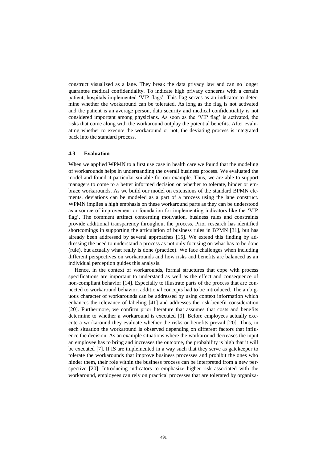construct visualized as a lane. They break the data privacy law and can no longer guarantee medical confidentiality. To indicate high privacy concerns with a certain patient, hospitals implemented 'VIP flags'. This flag serves as an indicator to determine whether the workaround can be tolerated. As long as the flag is not activated and the patient is an average person, data security and medical confidentiality is not considered important among physicians. As soon as the 'VIP flag' is activated, the risks that come along with the workaround outplay the potential benefits. After evaluating whether to execute the workaround or not, the deviating process is integrated back into the standard process.

#### **4.3 Evaluation**

When we applied WPMN to a first use case in health care we found that the modeling of workarounds helps in understanding the overall business process. We evaluated the model and found it particular suitable for our example. Thus, we are able to support managers to come to a better informed decision on whether to tolerate, hinder or embrace workarounds. As we build our model on extensions of the standard BPMN elements, deviations can be modeled as a part of a process using the lane construct. WPMN implies a high emphasis on these workaround parts as they can be understood as a source of improvement or foundation for implementing indicators like the 'VIP flag'. The comment artifact concerning motivation, business rules and constraints provide additional transparency throughout the process. Prior research has identified shortcomings in supporting the articulation of business rules in BPMN [\[31\]](#page-14-13), but has already been addressed by several approaches [\[15\]](#page-13-15). We extend this finding by addressing the need to understand a process as not only focusing on what has to be done (rule), but actually what really is done (practice). We face challenges when including different perspectives on workarounds and how risks and benefits are balanced as an individual perception guides this analysis.

Hence, in the context of workarounds, formal structures that cope with process specifications are important to understand as well as the effect and consequence of non-compliant behavior [\[14\]](#page-13-14). Especially to illustrate parts of the process that are connected to workaround behavior, additional concepts had to be introduced. The ambiguous character of workarounds can be addressed by using context information which enhances the relevance of labeling [\[41\]](#page-15-2) and addresses the risk-benefit consideration [\[20\]](#page-14-2). Furthermore, we confirm prior literature that assumes that costs and benefits determine to whether a workaround is executed [\[9\]](#page-13-7). Before employees actually execute a workaround they evaluate whether the risks or benefits prevail [\[20\]](#page-14-2). Thus, in each situation the workaround is observed depending on different factors that influence the decision. As an example situations where the workaround decreases the input an employee has to bring and increases the outcome, the probability is high that it will be executed [\[7\]](#page-13-5). If IS are implemented in a way such that they serve as gatekeeper to tolerate the workarounds that improve business processes and prohibit the ones who hinder them, their role within the business process can be interpreted from a new perspective [\[20\]](#page-14-2). Introducing indicators to emphasize higher risk associated with the workaround, employees can rely on practical processes that are tolerated by organiza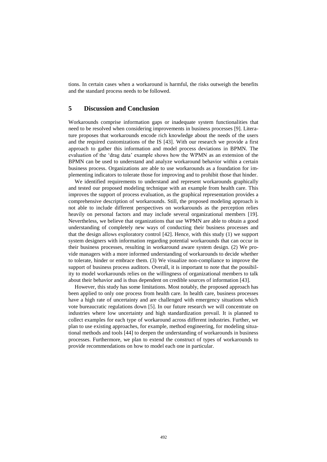tions. In certain cases when a workaround is harmful, the risks outweigh the benefits and the standard process needs to be followed.

#### **5 Discussion and Conclusion**

Workarounds comprise information gaps or inadequate system functionalities that need to be resolved when considering improvements in business processes [9]. Literature proposes that workarounds encode rich knowledge about the needs of the users and the required customizations of the IS [43]. With our research we provide a first approach to gather this information and model process deviations in BPMN. The evaluation of the 'drag data' example shows how the WPMN as an extension of the BPMN can be used to understand and analyze workaround behavior within a certain business process. Organizations are able to use workarounds as a foundation for implementing indicators to tolerate those for improving and to prohibit those that hinder.

We identified requirements to understand and represent workarounds graphically and tested our proposed modeling technique with an example from health care. This improves the support of process evaluation, as the graphical representation provides a comprehensive description of workarounds. Still, the proposed modeling approach is not able to include different perspectives on workarounds as the perception relies heavily on personal factors and may include several organizational members [\[19\]](#page-14-1). Nevertheless, we believe that organizations that use WPMN are able to obtain a good understanding of completely new ways of conducting their business processes and that the design allows exploratory control [\[42\]](#page-15-3). Hence, with this study (1) we support system designers with information regarding potential workarounds that can occur in their business processes, resulting in workaround aware system design. (2) We provide managers with a more informed understanding of workarounds to decide whether to tolerate, hinder or embrace them. (3) We visualize non-compliance to improve the support of business process auditors. Overall, it is important to note that the possibility to model workarounds relies on the willingness of organizational members to talk about their behavior and is thus dependent on credible sources of information [\[43\]](#page-15-4).

However, this study has some limitations. Most notably, the proposed approach has been applied to only one process from health care. In health care, business processes have a high rate of uncertainty and are challenged with emergency situations which vote bureaucratic regulations down [\[5\]](#page-13-3). In our future research we will concentrate on industries where low uncertainty and high standardization prevail. It is planned to collect examples for each type of workaround across different industries. Further, we plan to use existing approaches, for example, method engineering, for modeling situational methods and tools [\[44\]](#page-15-5) to deepen the understanding of workarounds in business processes. Furthermore, we plan to extend the construct of types of workarounds to provide recommendations on how to model each one in particular.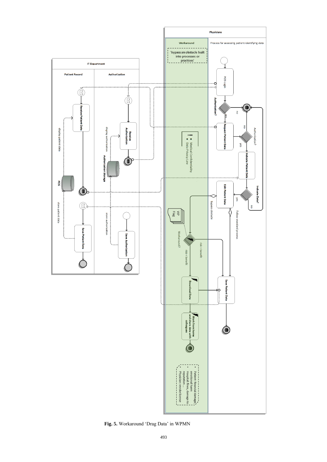

**Fig. 5.** Workaround 'Drag Data' in WPMN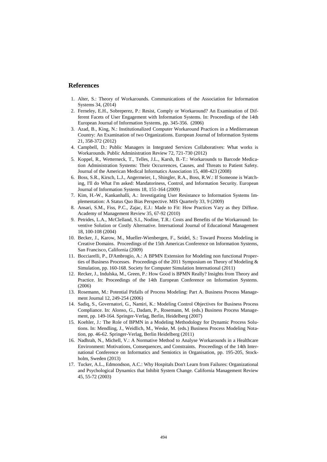#### **References**

- <span id="page-13-0"></span>1. Alter, S.: Theory of Workarounds. Communications of the Association for Information Systems 34, (2014)
- <span id="page-13-1"></span>2. Ferneley, E.H., Sobreperez, P.: Resist, Comply or Workaround? An Examination of Different Facets of User Engagement with Information Systems. In: Proceedings of the 14th European Journal of Information Systems, pp. 345-356. (2006)
- 3. Azad, B., King, N.: Institutionalized Computer Workaround Practices in a Mediterranean Country: An Examination of two Organizations. European Journal of Information Systems 21, 358-372 (2012)
- <span id="page-13-2"></span>4. Campbell, D.: Public Managers in Integrated Services Collaboratives: What works is Workarounds. Public Administration Review 72, 721-730 (2012)
- <span id="page-13-3"></span>5. Koppel, R., Wetterneck, T., Telles, J.L., Karsh, B.-T.: Workarounds to Barcode Medication Administration Systems: Their Occurrences, Causes, and Threats to Patient Safety. Journal of the American Medical Informatics Association 15, 408-423 (2008)
- <span id="page-13-4"></span>6. Boss, S.R., Kirsch, L.J., Angermeier, I., Shingler, R.A., Boss, R.W.: If Someone is Watching, I'll do What I'm asked: Mandatoriness, Control, and Information Security. European Journal of Information Systems 18, 151-164 (2009)
- <span id="page-13-5"></span>7. Kim, H.-W., Kankanhalli, A.: Investigating User Resistance to Information Systems Implementation: A Status Quo Bias Perspective. MIS Quarterly 33, 9 (2009)
- <span id="page-13-6"></span>8. Ansari, S.M., Fiss, P.C., Zajac, E.J.: Made to Fit: How Practices Vary as they Diffuse. Academy of Management Review 35, 67-92 (2010)
- <span id="page-13-7"></span>9. Petrides, L.A., McClelland, S.I., Nodine, T.R.: Costs and Benefits of the Workaround: Inventive Solution or Costly Alternative. International Journal of Educational Management 18, 100-108 (2004)
- <span id="page-13-8"></span>10. Becker, J., Karow, M., Mueller-Wienbergen, F., Seidel, S.: Toward Process Modeling in Creative Domains. Proceedings of the 15th Americas Conference on Information Systems, San Francisco, California (2009)
- <span id="page-13-9"></span>11. Bocciarelli, P., D'Ambrogio, A.: A BPMN Extension for Modeling non functional Properties of Business Processes. Proceedings of the 2011 Symposium on Theory of Modeling & Simulation, pp. 160-168. Society for Computer Simulation International (2011)
- <span id="page-13-10"></span>12. Recker, J., Indulska, M., Green, P.: How Good is BPMN Really? Insights from Theory and Practice. In: Proceedings of the 14th European Conference on Information Systems. (2006)
- <span id="page-13-11"></span>13. Rosemann, M.: Potential Pitfalls of Process Modeling: Part A. Business Process Management Journal 12, 249-254 (2006)
- <span id="page-13-14"></span>14. Sadiq, S., Governatori, G., Namiri, K.: Modeling Control Objectives for Business Process Compliance. In: Alonso, G., Dadam, P., Rosemann, M. (eds.) Business Process Management, pp. 149-164. Springer-Verlag, Berlin, Heidelberg (2007)
- <span id="page-13-15"></span>15. Koehler, J.: The Role of BPMN in a Modeling Methodology for Dynamic Process Solutions. In: Mendling, J., Weidlich, M., Weske, M. (eds.) Business Process Modeling Notation, pp. 46-62. Springer-Verlag, Berlin Heidelberg (2011)
- <span id="page-13-12"></span>16. Nadhrah, N., Michell, V.: A Normative Method to Analyse Workarounds in a Healthcare Environment: Motivations, Consequences, and Constraints. Proceedings of the 14th International Conference on Informatics and Semiotics in Organisation, pp. 195-205, Stockholm, Sweden (2013)
- <span id="page-13-13"></span>17. Tucker, A.L., Edmondson, A.C.: Why Hospitals Don't Learn from Failures: Organizational and Psychological Dynamics that Inhibit System Change. California Management Review 45, 55-72 (2003)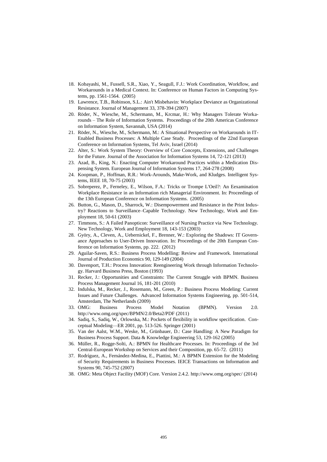- <span id="page-14-0"></span>18. Kobayashi, M., Fussell, S.R., Xiao, Y., Seagull, F.J.: Work Coordination, Workflow, and Workarounds in a Medical Context. In: Conference on Human Factors in Computing Systems, pp. 1561-1564. (2005)
- <span id="page-14-1"></span>19. Lawrence, T.B., Robinson, S.L.: Ain't Misbehavin: Workplace Deviance as Organizational Resistance. Journal of Management 33, 378-394 (2007)
- <span id="page-14-2"></span>20. Röder, N., Wiesche, M., Schermann, M., Krcmar, H.: Why Managers Tolerate Workarounds – The Role of Information Systems. Proceedings of the 20th Americas Conference on Information System, Savannah, USA (2014)
- <span id="page-14-3"></span>21. Röder, N., Wiesche, M., Schermann, M.: A Situational Perspective on Workarounds in IT-Enabled Business Processes: A Multiple Case Study. Proceedings of the 22nd European Conference on Information Systems, Tel Aviv, Israel (2014)
- <span id="page-14-4"></span>22. Alter, S.: Work System Theory: Overview of Core Concepts, Extensions, and Challenges for the Future. Journal of the Association for Information Systems 14, 72-121 (2013)
- <span id="page-14-5"></span>23. Azad, B., King, N.: Enacting Computer Workaround Practices within a Medication Dispensing System. European Journal of Information Systems 17, 264-278 (2008)
- <span id="page-14-6"></span>24. Koopman, P., Hoffman, R.R.: Work-Arounds, Make-Work, and Kludges. Intelligent Systems, IEEE 18, 70-75 (2003)
- <span id="page-14-7"></span>25. Sobreperez, P., Ferneley, E., Wilson, F.A.: Tricks or Trompe L'Oeil?: An Eexamination Workplace Resistance in an Information rich Managerial Environment. In: Proceedings of the 13th European Conference on Information Systems. (2005)
- <span id="page-14-8"></span>26. Button, G., Mason, D., Sharrock, W.: Disempowerment and Resistance in the Print Industry? Reactions to Surveillance–Capable Technology. New Technology, Work and Employment 18, 50-61 (2003)
- <span id="page-14-9"></span>27. Timmons, S.: A Failed Panopticon: Surveillance of Nursing Practice via New Technology. New Technology, Work and Employment 18, 143-153 (2003)
- <span id="page-14-10"></span>28. Györy, A., Cleven, A., Uebernickel, F., Brenner, W.: Exploring the Shadows: IT Governance Approaches to User-Driven Innovation. In: Proceedings of the 20th European Conference on Information Systems, pp. 222. (2012)
- <span id="page-14-11"></span>29. Aguilar-Saven, R.S.: Business Process Modelling: Review and Framework. International Journal of Production Economics 90, 129-149 (2004)
- <span id="page-14-12"></span>30. Davenport, T.H.: Process Innovation: Reengineering Work through Information Technology. Harvard Business Press, Boston (1993)
- <span id="page-14-13"></span>31. Recker, J.: Opportunities and Constraints: The Current Struggle with BPMN. Business Process Management Journal 16, 181-201 (2010)
- <span id="page-14-14"></span>32. Indulska, M., Recker, J., Rosemann, M., Green, P.: Business Process Modeling: Current Issues and Future Challenges. Advanced Information Systems Engineering, pp. 501-514, Amsterdam, The Netherlands (2009)
- <span id="page-14-15"></span>33. OMG: Business Process Model Notation (BPMN). Version 2.0. <http://www.omg.org/spec/BPMN/2.0/Beta2/PDF> (2011)
- <span id="page-14-16"></span>34. Sadiq, S., Sadiq, W., Orlowska, M.: Pockets of flexibility in workflow specification. Conceptual Modeling—ER 2001, pp. 513-526. Springer (2001)
- <span id="page-14-17"></span>35. Van der Aalst, W.M., Weske, M., Grünbauer, D.: Case Handling: A New Paradigm for Business Process Support. Data & Knowledge Engineering 53, 129-162 (2005)
- <span id="page-14-18"></span>36. Müller, R., Rogge-Solti, A.: BPMN for Healthcare Processes. In: Proceedings of the 3rd Central-European Workshop on Services and their Composition, pp. 65-72. (2011)
- <span id="page-14-19"></span>37. Rodríguez, A., Fernández-Medina, E., Piattini, M.: A BPMN Extension for the Modeling of Security Requirements in Business Processes. IEICE Transactions on Information and Systems 90, 745-752 (2007)
- <span id="page-14-20"></span>38. OMG: Meta Object Facility (MOF) Core. Version 2.4.2.<http://www.omg.org/spec/> (2014)